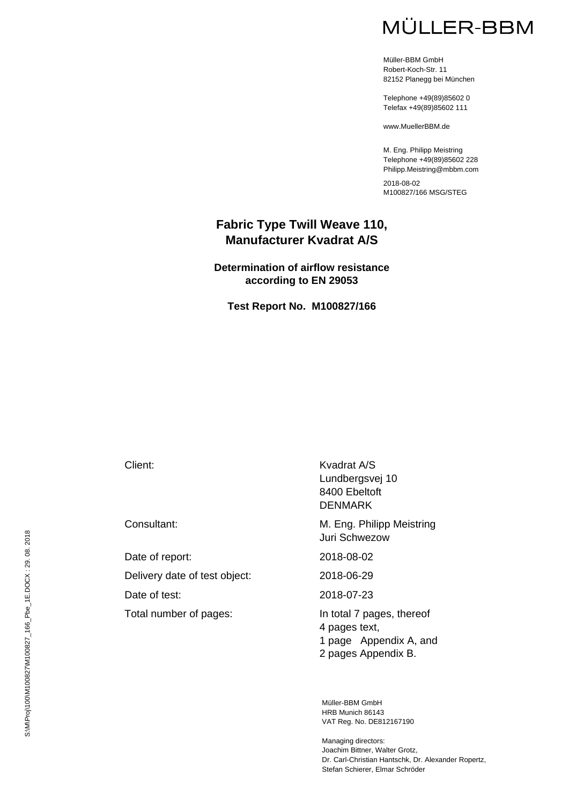# MÜLLER-BBM

Müller-BBM GmbH Robert-Koch-Str. 11 82152 Planegg bei München

Telephone +49(89)85602 0 Telefax +49(89)85602 111

www.MuellerBBM.de

M. Eng. Philipp Meistring Telephone +49(89)85602 228 Philipp.Meistring@mbbm.com

2018-08-02 M100827/166 MSG/STEG

#### **Fabric Type Twill Weave 110, Manufacturer Kvadrat A/S**

**Determination of airflow resistance according to EN 29053** 

**Test Report No. M100827/166** 

Date of report: 2018-08-02 Delivery date of test object: 2018-06-29 Date of test: 2018-07-23 Total number of pages:<br>In total 7 pages, thereof

Client: Kvadrat A/S Lundbergsvej 10 8400 Ebeltoft DENMARK

Consultant: Consultant: M. Eng. Philipp Meistring Juri Schwezow

4 pages text, 1 page Appendix A, and 2 pages Appendix B.

Müller-BBM GmbH HRB Munich 86143 VAT Reg. No. DE812167190

Managing directors: Joachim Bittner, Walter Grotz, Dr. Carl-Christian Hantschk, Dr. Alexander Ropertz, Stefan Schierer, Elmar Schröder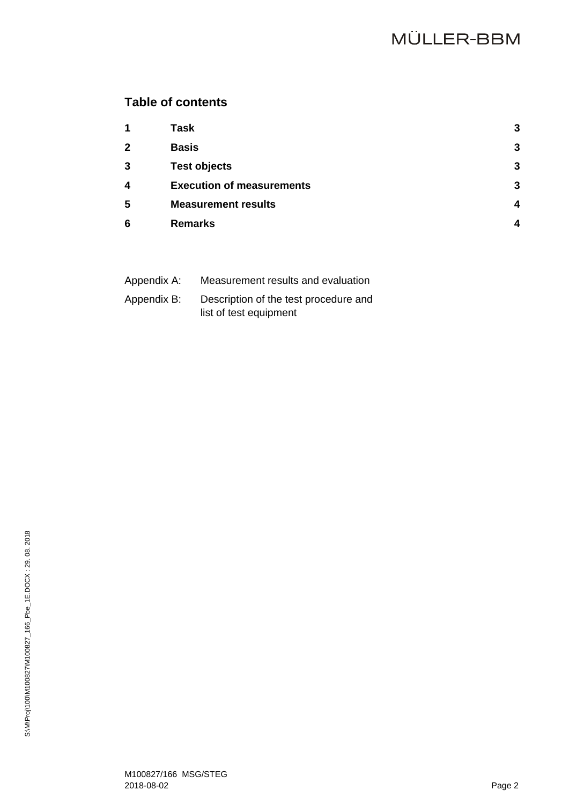# **Table of contents**

| 1                       | <b>Task</b>                      | 3 |
|-------------------------|----------------------------------|---|
| $\mathbf{2}$            | <b>Basis</b>                     | 3 |
| 3                       | <b>Test objects</b>              | 3 |
| $\overline{\mathbf{4}}$ | <b>Execution of measurements</b> | 3 |
| 5                       | <b>Measurement results</b>       | Δ |
| 6                       | <b>Remarks</b>                   |   |

| Appendix A: | Measurement results and evaluation    |
|-------------|---------------------------------------|
| Appendix B: | Description of the test procedure and |
|             | list of test equipment                |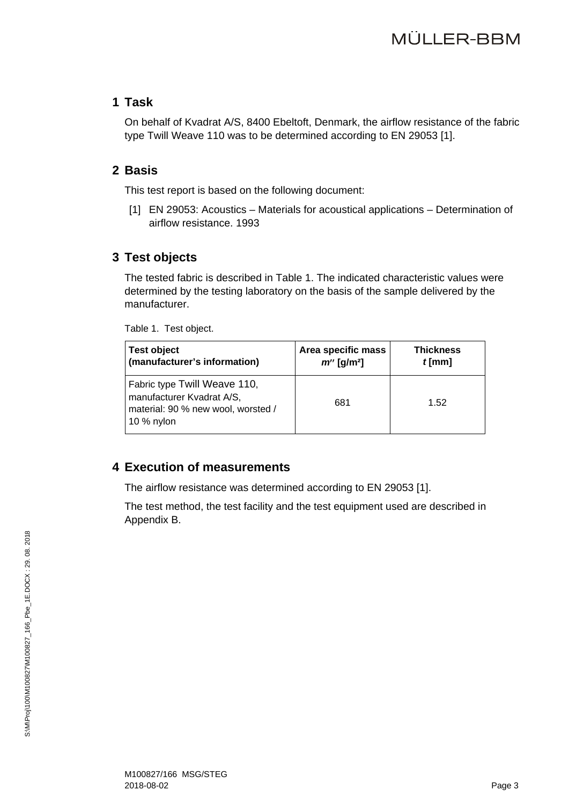#### **1 Task**

On behalf of Kvadrat A/S, 8400 Ebeltoft, Denmark, the airflow resistance of the fabric type Twill Weave 110 was to be determined according to EN 29053 [1].

#### **2 Basis**

This test report is based on the following document:

[1] EN 29053: Acoustics – Materials for acoustical applications – Determination of airflow resistance. 1993

# **3 Test objects**

The tested fabric is described in Table 1. The indicated characteristic values were determined by the testing laboratory on the basis of the sample delivered by the manufacturer.

Table 1. Test object.

| <b>Test object</b>                                                                                            | Area specific mass        | <b>Thickness</b> |
|---------------------------------------------------------------------------------------------------------------|---------------------------|------------------|
| (manufacturer's information)                                                                                  | $m''$ [g/m <sup>2</sup> ] | $t$ [mm]         |
| Fabric type Twill Weave 110,<br>manufacturer Kvadrat A/S,<br>material: 90 % new wool, worsted /<br>10 % nylon | 681                       | 1.52             |

## **4 Execution of measurements**

The airflow resistance was determined according to EN 29053 [1].

The test method, the test facility and the test equipment used are described in Appendix B.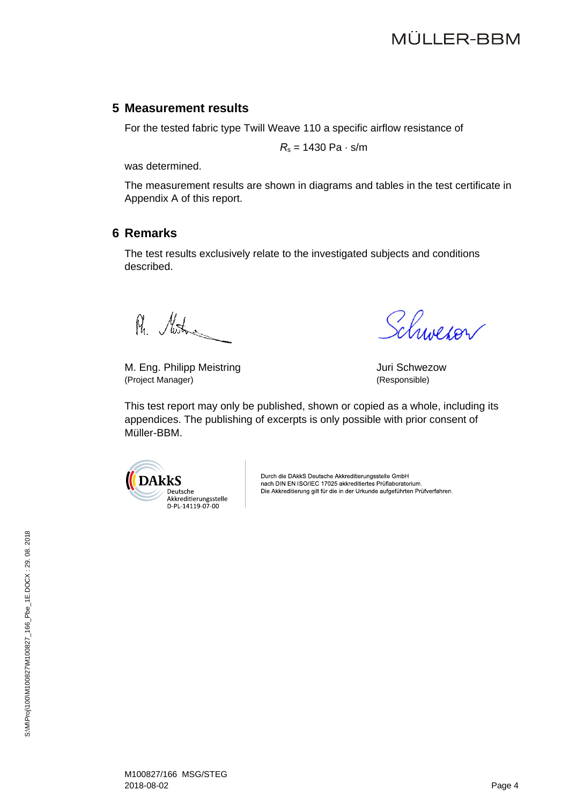#### **5 Measurement results**

For the tested fabric type Twill Weave 110 a specific airflow resistance of

*R*s = 1430 Pa · s/m

was determined.

The measurement results are shown in diagrams and tables in the test certificate in Appendix A of this report.

#### **6 Remarks**

The test results exclusively relate to the investigated subjects and conditions described.

R. Motor

M. Eng. Philipp Meistring **Matter and Schwezow** Juri Schwezow (Project Manager) (Responsible)

Schweron

This test report may only be published, shown or copied as a whole, including its appendices. The publishing of excerpts is only possible with prior consent of Müller-BBM.



Durch die DAkkS Deutsche Akkreditierungsstelle GmbH nach DIN EN ISO/IEC 17025 akkreditiertes Prüflaboratorium. Die Akkreditierung gilt für die in der Urkunde aufgeführten Prüfverfahren.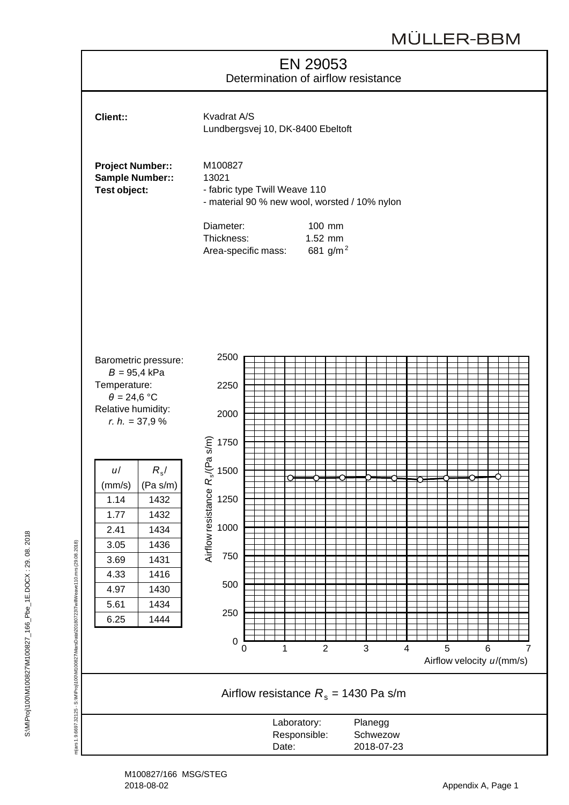# EN 29053 Determination of airflow resistance



Lundbergsvej 10, DK-8400 Ebeltoft

Project Number:: M100827 Sample Number:: 13021

**Test object:** Fabric type Twill Weave 110 - material 90 % new wool, worsted / 10% nylon

| Diameter:           | $100 \text{ mm}$ |
|---------------------|------------------|
| Thickness:          | $1.52$ mm        |
| Area-specific mass: | 681 $q/m^2$      |

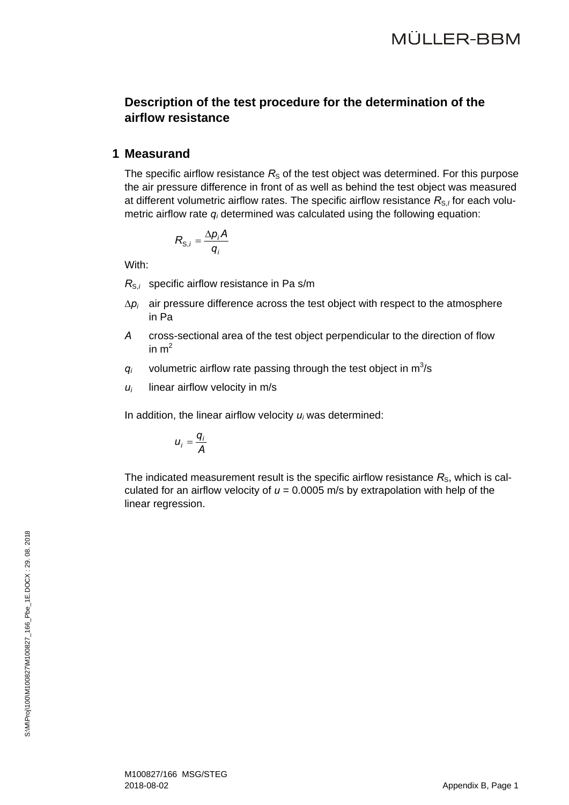## **Description of the test procedure for the determination of the airflow resistance**

#### **1 Measurand**

The specific airflow resistance  $R<sub>S</sub>$  of the test object was determined. For this purpose the air pressure difference in front of as well as behind the test object was measured at different volumetric airflow rates. The specific airflow resistance R<sub>S,I</sub> for each volumetric airflow rate *qi* determined was calculated using the following equation:

$$
R_{\mathrm{S},i} = \frac{\Delta p_i A}{q_i}
$$

With:

*R<sub>S,i</sub>* specific airflow resistance in Pa s/m

- $\Delta p_i$  air pressure difference across the test object with respect to the atmosphere in Pa
- *A* cross-sectional area of the test object perpendicular to the direction of flow in  $m<sup>2</sup>$
- $q_i$  volumetric airflow rate passing through the test object in  $m^3/s$
- $u_i$  linear airflow velocity in m/s

In addition, the linear airflow velocity *ui* was determined:

$$
u_i=\frac{q_i}{A}
$$

The indicated measurement result is the specific airflow resistance  $R<sub>s</sub>$ , which is calculated for an airflow velocity of  $u = 0.0005$  m/s by extrapolation with help of the linear regression.